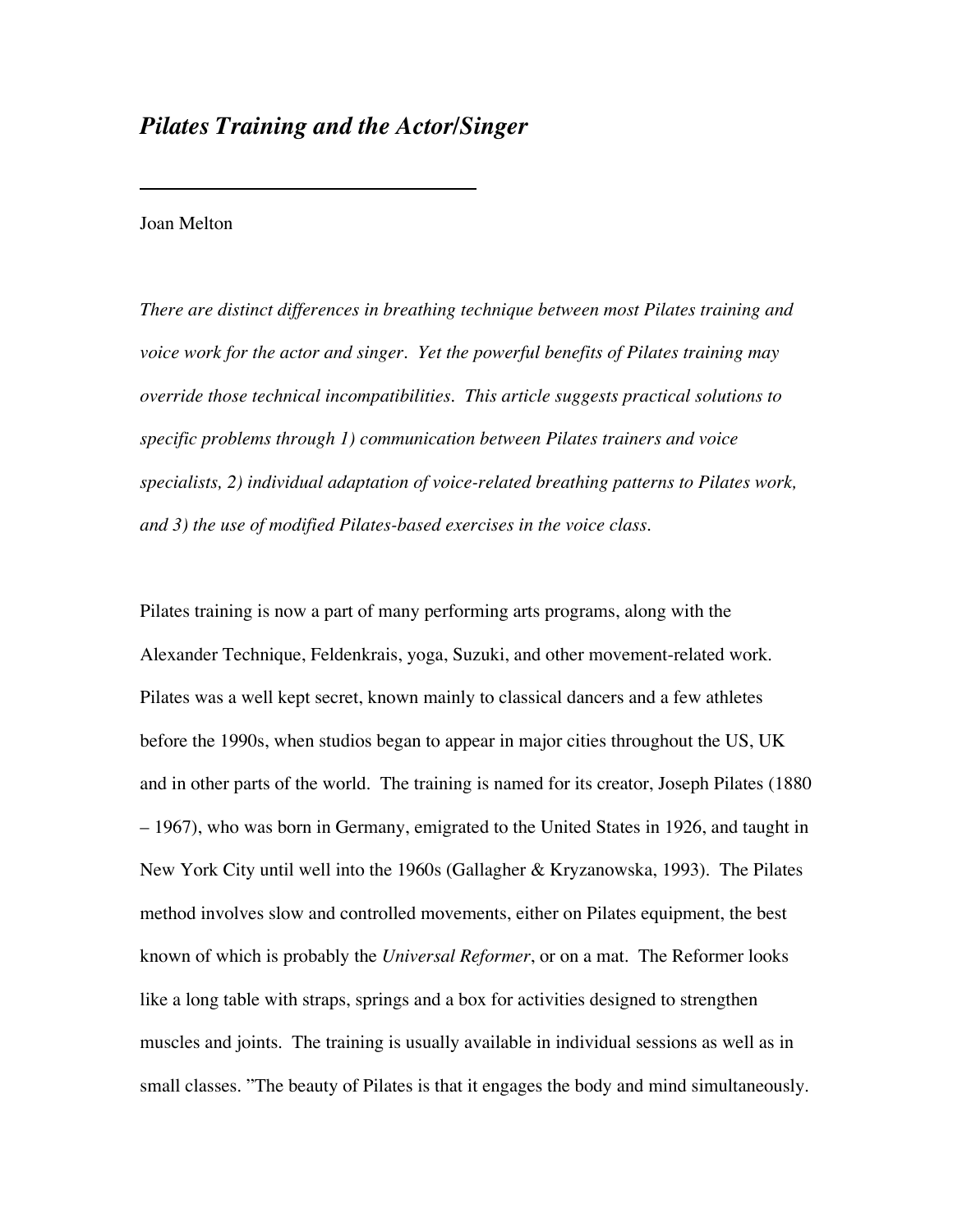## *Pilates Training and the Actor/Singer*

## Joan Melton

*There are distinct differences in breathing technique between most Pilates training and voice work for the actor and singer. Yet the powerful benefits of Pilates training may override those technical incompatibilities. This article suggests practical solutions to specific problems through 1) communication between Pilates trainers and voice specialists, 2) individual adaptation of voice-related breathing patterns to Pilates work, and 3) the use of modified Pilates-based exercises in the voice class.*

Pilates training is now a part of many performing arts programs, along with the Alexander Technique, Feldenkrais, yoga, Suzuki, and other movement-related work. Pilates was a well kept secret, known mainly to classical dancers and a few athletes before the 1990s, when studios began to appear in major cities throughout the US, UK and in other parts of the world. The training is named for its creator, Joseph Pilates (1880 – 1967), who was born in Germany, emigrated to the United States in 1926, and taught in New York City until well into the 1960s (Gallagher & Kryzanowska, 1993). The Pilates method involves slow and controlled movements, either on Pilates equipment, the best known of which is probably the *Universal Reformer*, or on a mat. The Reformer looks like a long table with straps, springs and a box for activities designed to strengthen muscles and joints. The training is usually available in individual sessions as well as in small classes. "The beauty of Pilates is that it engages the body and mind simultaneously.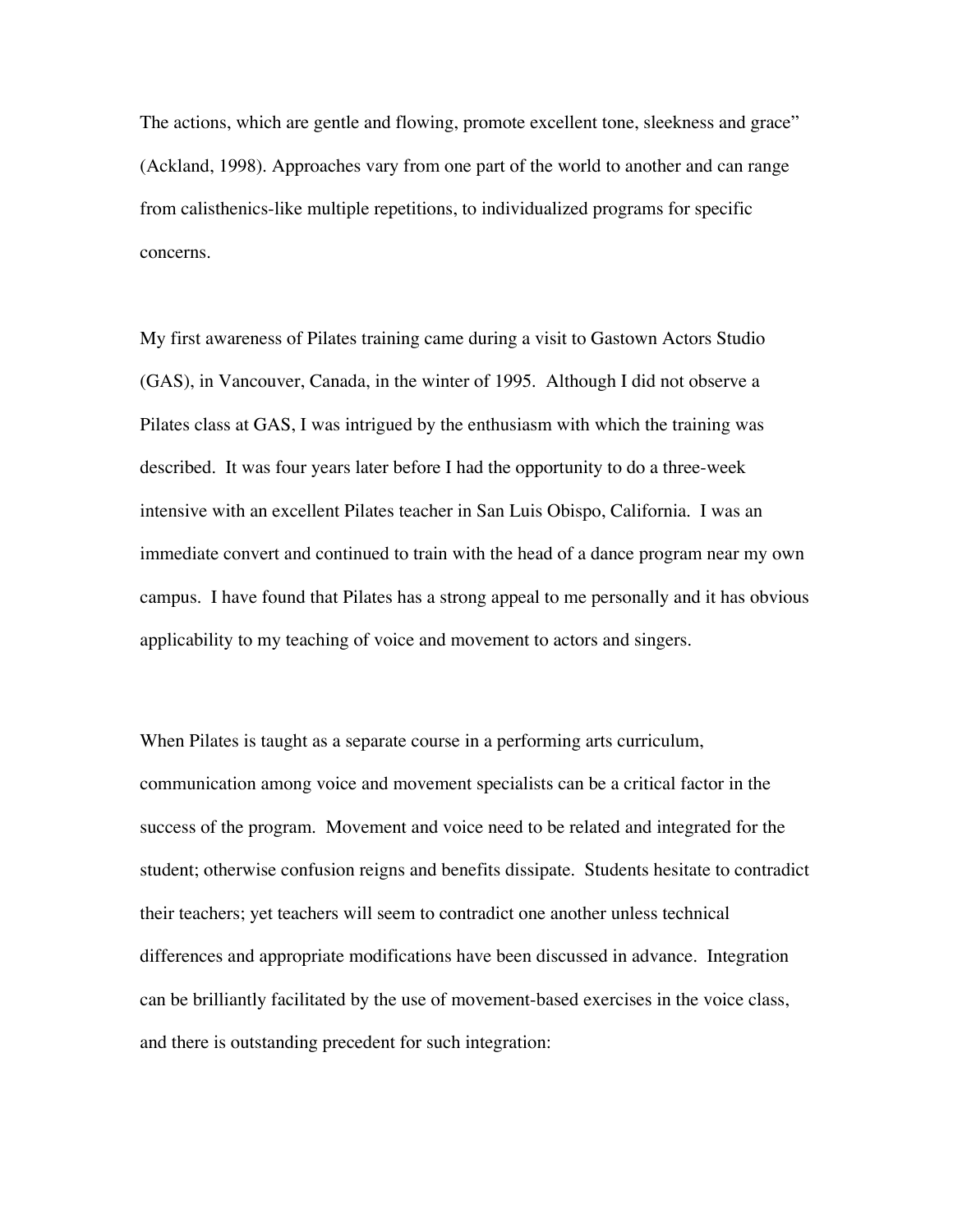The actions, which are gentle and flowing, promote excellent tone, sleekness and grace" (Ackland, 1998). Approaches vary from one part of the world to another and can range from calisthenics-like multiple repetitions, to individualized programs for specific concerns.

My first awareness of Pilates training came during a visit to Gastown Actors Studio (GAS), in Vancouver, Canada, in the winter of 1995. Although I did not observe a Pilates class at GAS, I was intrigued by the enthusiasm with which the training was described. It was four years later before I had the opportunity to do a three-week intensive with an excellent Pilates teacher in San Luis Obispo, California. I was an immediate convert and continued to train with the head of a dance program near my own campus. I have found that Pilates has a strong appeal to me personally and it has obvious applicability to my teaching of voice and movement to actors and singers.

When Pilates is taught as a separate course in a performing arts curriculum, communication among voice and movement specialists can be a critical factor in the success of the program. Movement and voice need to be related and integrated for the student; otherwise confusion reigns and benefits dissipate. Students hesitate to contradict their teachers; yet teachers will seem to contradict one another unless technical differences and appropriate modifications have been discussed in advance. Integration can be brilliantly facilitated by the use of movement-based exercises in the voice class, and there is outstanding precedent for such integration: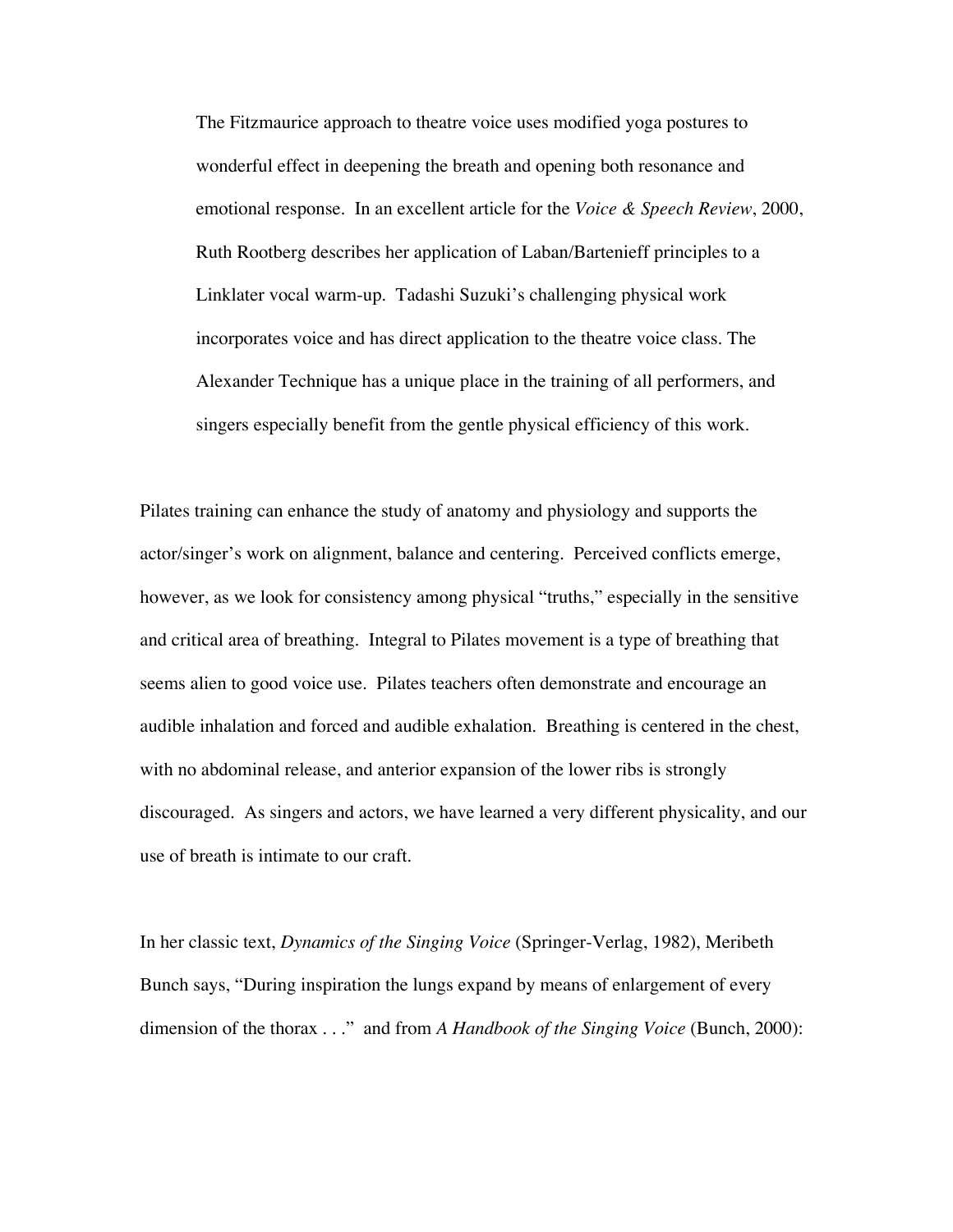The Fitzmaurice approach to theatre voice uses modified yoga postures to wonderful effect in deepening the breath and opening both resonance and emotional response. In an excellent article for the *Voice & Speech Review*, 2000, Ruth Rootberg describes her application of Laban/Bartenieff principles to a Linklater vocal warm-up. Tadashi Suzuki's challenging physical work incorporates voice and has direct application to the theatre voice class. The Alexander Technique has a unique place in the training of all performers, and singers especially benefit from the gentle physical efficiency of this work.

Pilates training can enhance the study of anatomy and physiology and supports the actor/singer's work on alignment, balance and centering. Perceived conflicts emerge, however, as we look for consistency among physical "truths," especially in the sensitive and critical area of breathing. Integral to Pilates movement is a type of breathing that seems alien to good voice use. Pilates teachers often demonstrate and encourage an audible inhalation and forced and audible exhalation. Breathing is centered in the chest, with no abdominal release, and anterior expansion of the lower ribs is strongly discouraged. As singers and actors, we have learned a very different physicality, and our use of breath is intimate to our craft.

In her classic text, *Dynamics of the Singing Voice* (Springer-Verlag, 1982), Meribeth Bunch says, "During inspiration the lungs expand by means of enlargement of every dimension of the thorax . . ." and from *A Handbook of the Singing Voice* (Bunch, 2000):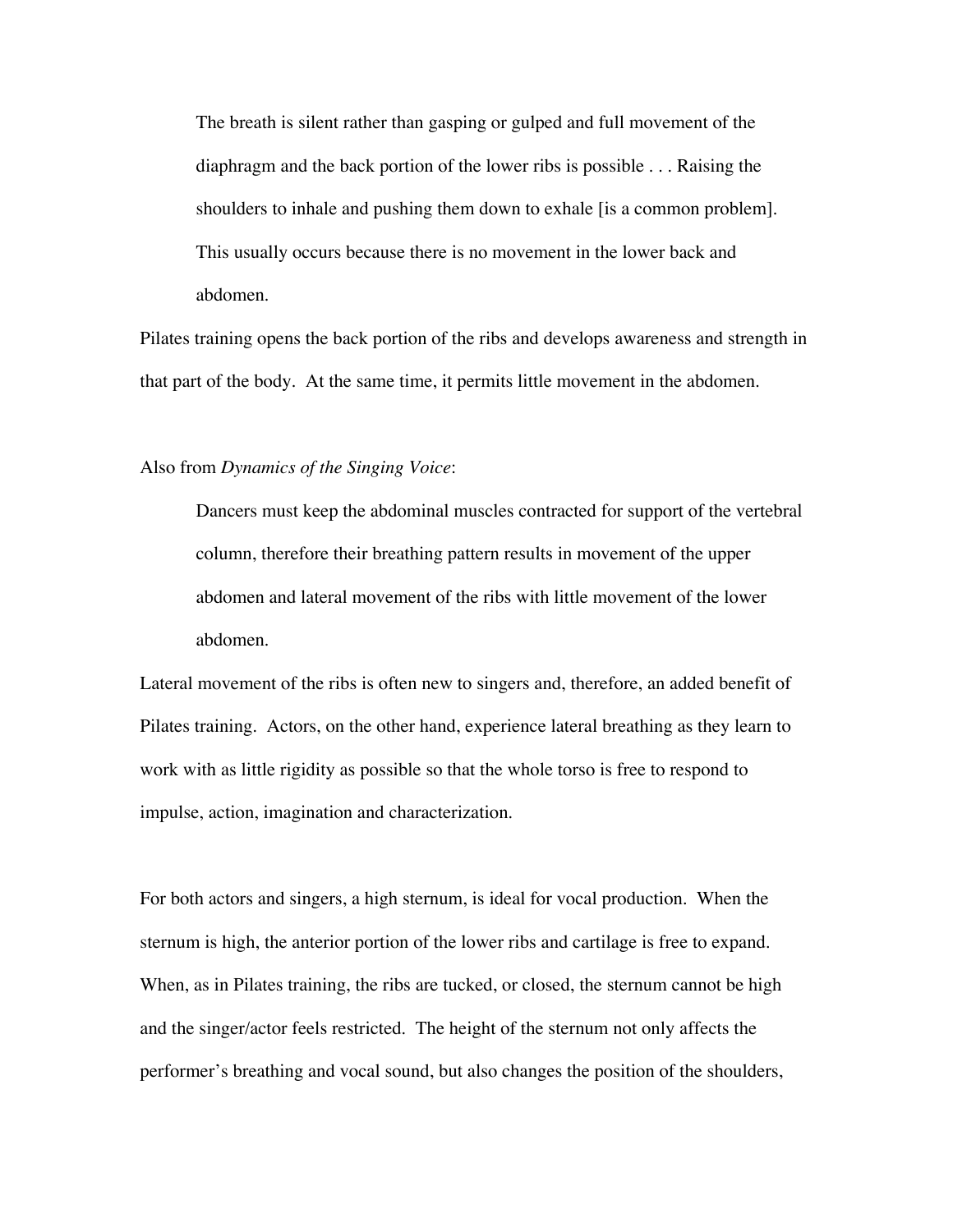The breath is silent rather than gasping or gulped and full movement of the diaphragm and the back portion of the lower ribs is possible . . . Raising the shoulders to inhale and pushing them down to exhale [is a common problem]. This usually occurs because there is no movement in the lower back and abdomen.

Pilates training opens the back portion of the ribs and develops awareness and strength in that part of the body. At the same time, it permits little movement in the abdomen.

## Also from *Dynamics of the Singing Voice*:

Dancers must keep the abdominal muscles contracted for support of the vertebral column, therefore their breathing pattern results in movement of the upper abdomen and lateral movement of the ribs with little movement of the lower abdomen.

Lateral movement of the ribs is often new to singers and, therefore, an added benefit of Pilates training. Actors, on the other hand, experience lateral breathing as they learn to work with as little rigidity as possible so that the whole torso is free to respond to impulse, action, imagination and characterization.

For both actors and singers, a high sternum, is ideal for vocal production. When the sternum is high, the anterior portion of the lower ribs and cartilage is free to expand. When, as in Pilates training, the ribs are tucked, or closed, the sternum cannot be high and the singer/actor feels restricted. The height of the sternum not only affects the performer's breathing and vocal sound, but also changes the position of the shoulders,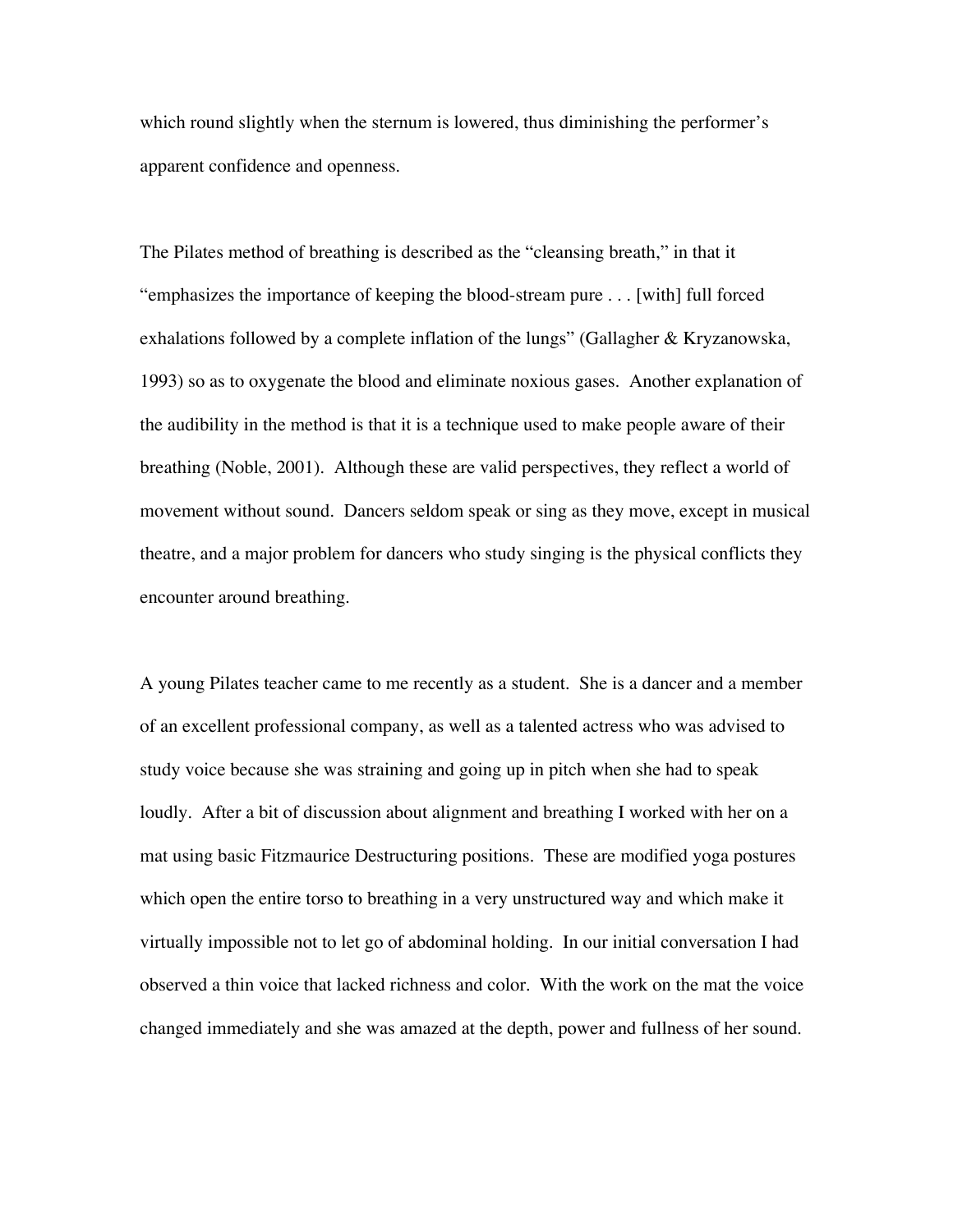which round slightly when the sternum is lowered, thus diminishing the performer's apparent confidence and openness.

The Pilates method of breathing is described as the "cleansing breath," in that it "emphasizes the importance of keeping the blood-stream pure . . . [with] full forced exhalations followed by a complete inflation of the lungs" (Gallagher & Kryzanowska, 1993) so as to oxygenate the blood and eliminate noxious gases. Another explanation of the audibility in the method is that it is a technique used to make people aware of their breathing (Noble, 2001). Although these are valid perspectives, they reflect a world of movement without sound. Dancers seldom speak or sing as they move, except in musical theatre, and a major problem for dancers who study singing is the physical conflicts they encounter around breathing.

A young Pilates teacher came to me recently as a student. She is a dancer and a member of an excellent professional company, as well as a talented actress who was advised to study voice because she was straining and going up in pitch when she had to speak loudly. After a bit of discussion about alignment and breathing I worked with her on a mat using basic Fitzmaurice Destructuring positions. These are modified yoga postures which open the entire torso to breathing in a very unstructured way and which make it virtually impossible not to let go of abdominal holding. In our initial conversation I had observed a thin voice that lacked richness and color. With the work on the mat the voice changed immediately and she was amazed at the depth, power and fullness of her sound.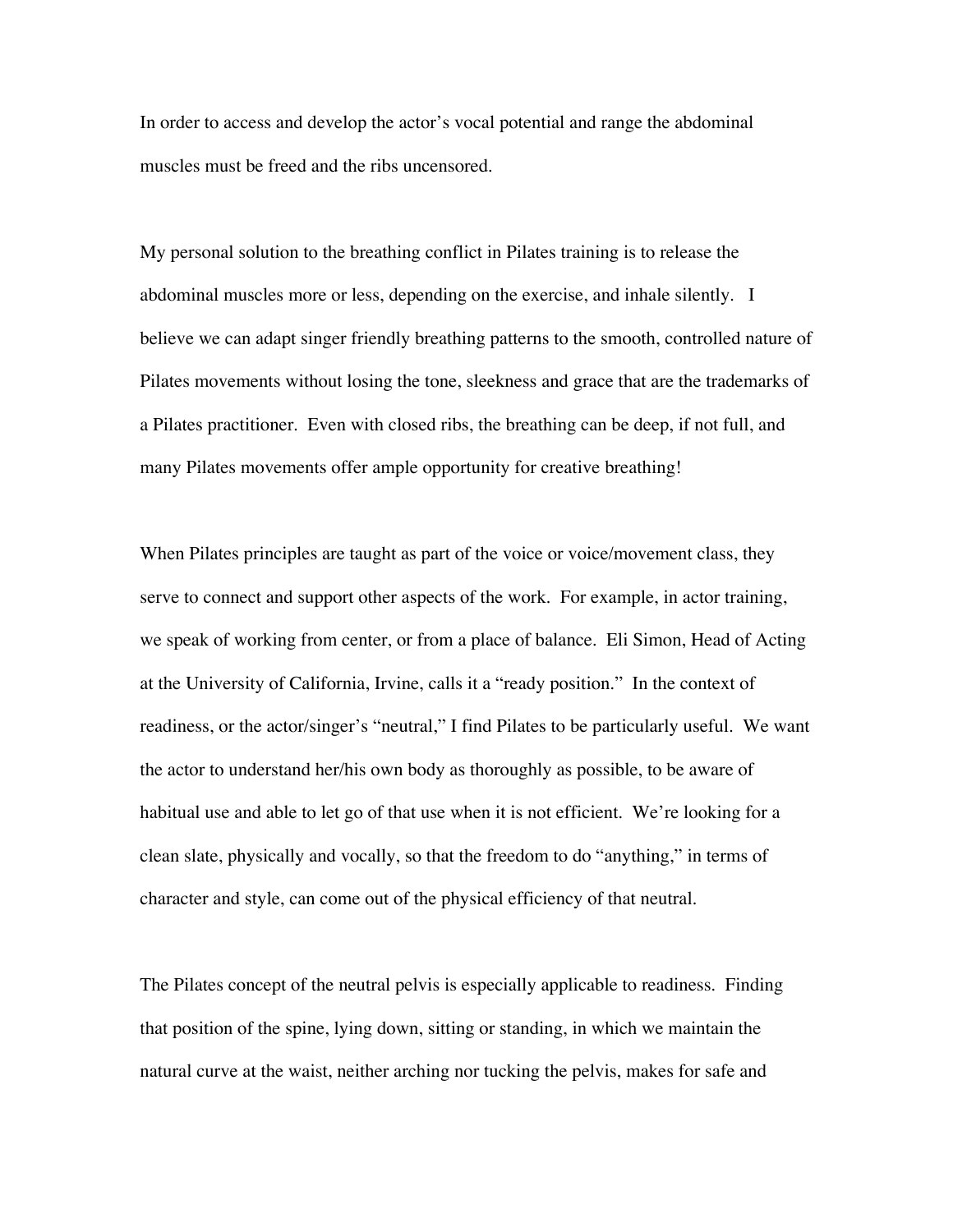In order to access and develop the actor's vocal potential and range the abdominal muscles must be freed and the ribs uncensored.

My personal solution to the breathing conflict in Pilates training is to release the abdominal muscles more or less, depending on the exercise, and inhale silently. I believe we can adapt singer friendly breathing patterns to the smooth, controlled nature of Pilates movements without losing the tone, sleekness and grace that are the trademarks of a Pilates practitioner. Even with closed ribs, the breathing can be deep, if not full, and many Pilates movements offer ample opportunity for creative breathing!

When Pilates principles are taught as part of the voice or voice/movement class, they serve to connect and support other aspects of the work. For example, in actor training, we speak of working from center, or from a place of balance. Eli Simon, Head of Acting at the University of California, Irvine, calls it a "ready position." In the context of readiness, or the actor/singer's "neutral," I find Pilates to be particularly useful. We want the actor to understand her/his own body as thoroughly as possible, to be aware of habitual use and able to let go of that use when it is not efficient. We're looking for a clean slate, physically and vocally, so that the freedom to do "anything," in terms of character and style, can come out of the physical efficiency of that neutral.

The Pilates concept of the neutral pelvis is especially applicable to readiness. Finding that position of the spine, lying down, sitting or standing, in which we maintain the natural curve at the waist, neither arching nor tucking the pelvis, makes for safe and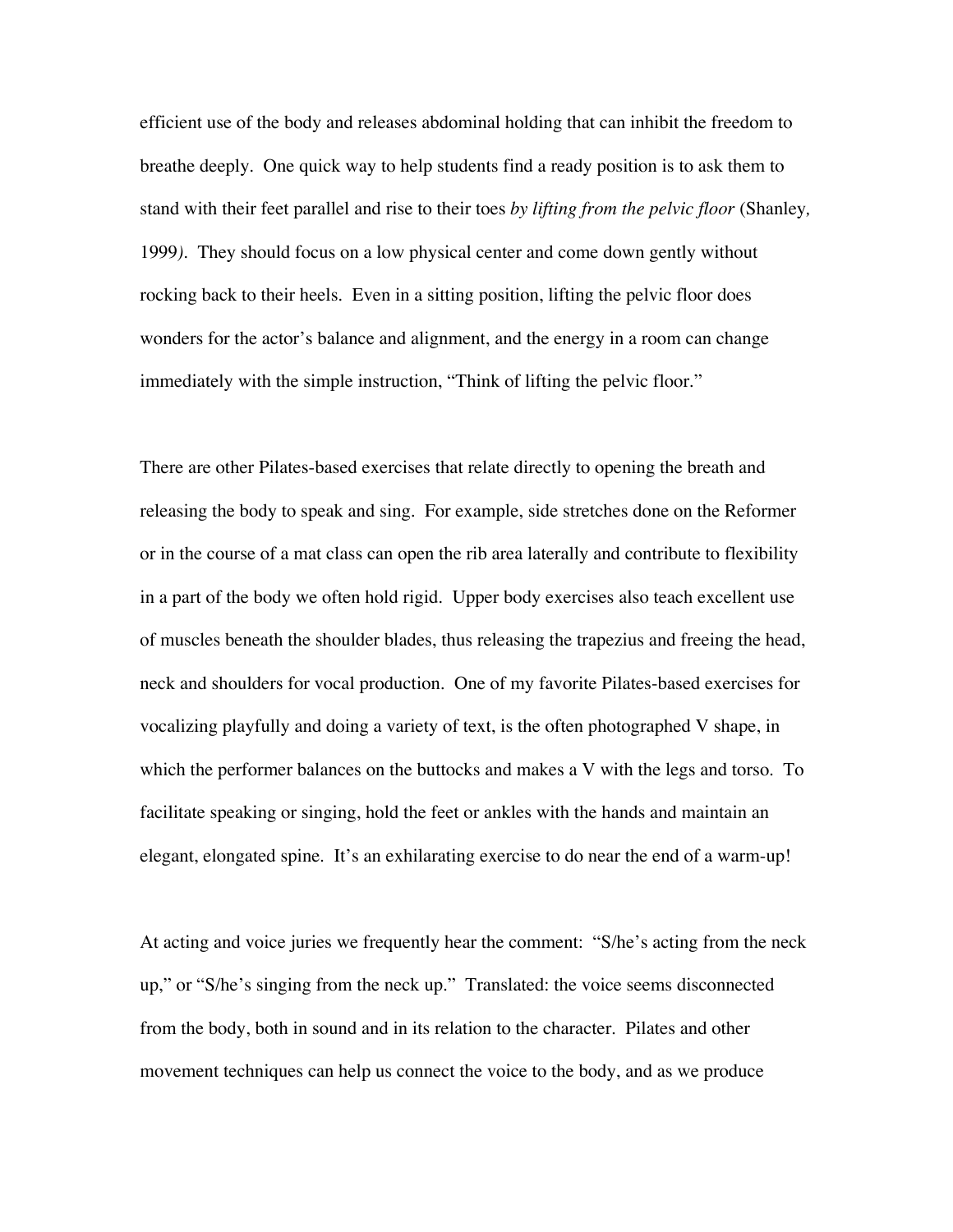efficient use of the body and releases abdominal holding that can inhibit the freedom to breathe deeply. One quick way to help students find a ready position is to ask them to stand with their feet parallel and rise to their toes *by lifting from the pelvic floor* (Shanley*,* 1999*).* They should focus on a low physical center and come down gently without rocking back to their heels. Even in a sitting position, lifting the pelvic floor does wonders for the actor's balance and alignment, and the energy in a room can change immediately with the simple instruction, "Think of lifting the pelvic floor."

There are other Pilates-based exercises that relate directly to opening the breath and releasing the body to speak and sing. For example, side stretches done on the Reformer or in the course of a mat class can open the rib area laterally and contribute to flexibility in a part of the body we often hold rigid. Upper body exercises also teach excellent use of muscles beneath the shoulder blades, thus releasing the trapezius and freeing the head, neck and shoulders for vocal production. One of my favorite Pilates-based exercises for vocalizing playfully and doing a variety of text, is the often photographed V shape, in which the performer balances on the buttocks and makes a V with the legs and torso. To facilitate speaking or singing, hold the feet or ankles with the hands and maintain an elegant, elongated spine. It's an exhilarating exercise to do near the end of a warm-up!

At acting and voice juries we frequently hear the comment: "S/he's acting from the neck up," or "S/he's singing from the neck up." Translated: the voice seems disconnected from the body, both in sound and in its relation to the character. Pilates and other movement techniques can help us connect the voice to the body, and as we produce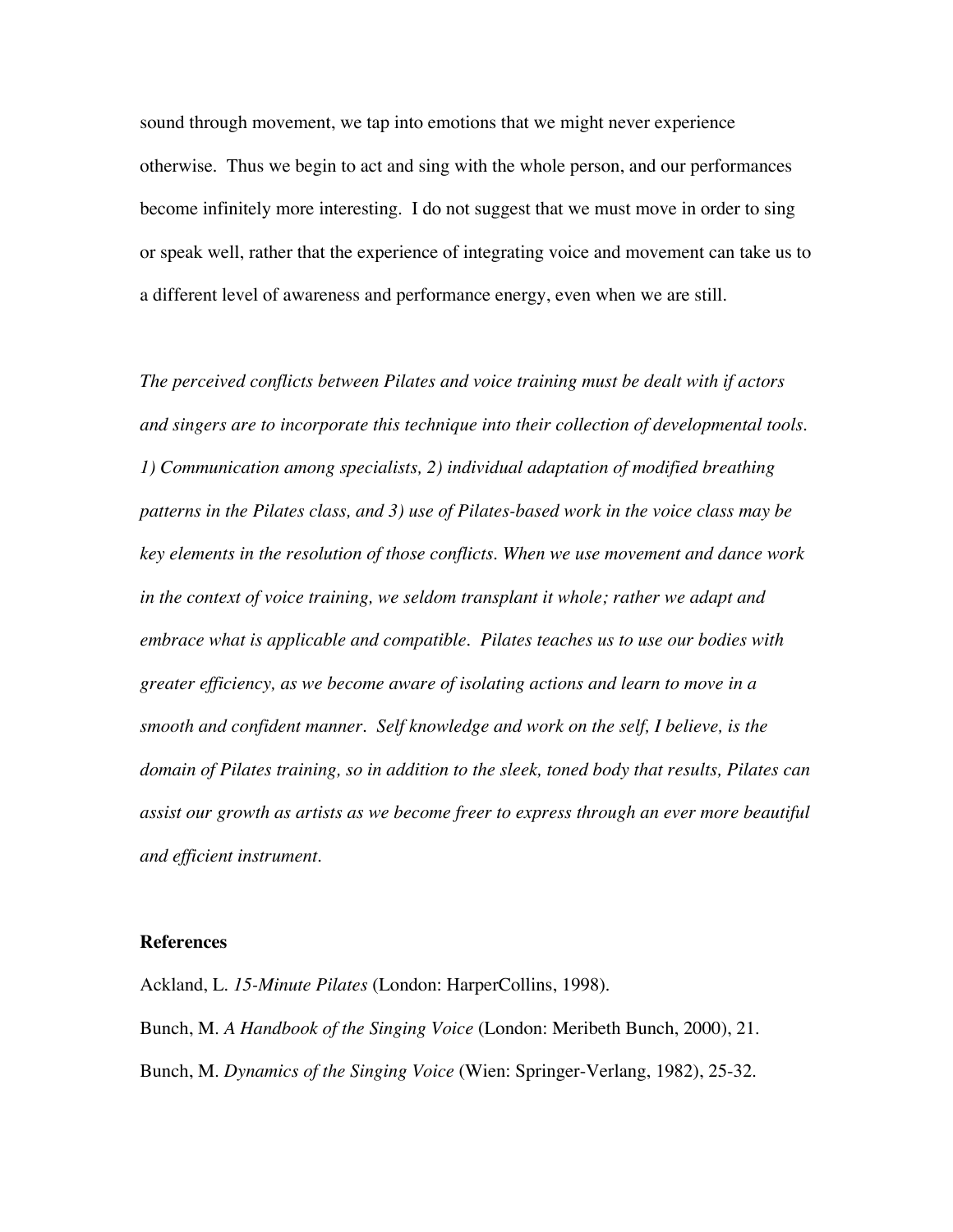sound through movement, we tap into emotions that we might never experience otherwise. Thus we begin to act and sing with the whole person, and our performances become infinitely more interesting. I do not suggest that we must move in order to sing or speak well, rather that the experience of integrating voice and movement can take us to a different level of awareness and performance energy, even when we are still.

*The perceived conflicts between Pilates and voice training must be dealt with if actors and singers are to incorporate this technique into their collection of developmental tools. 1) Communication among specialists, 2) individual adaptation of modified breathing patterns in the Pilates class, and 3) use of Pilates-based work in the voice class may be key elements in the resolution of those conflicts. When we use movement and dance work in the context of voice training, we seldom transplant it whole; rather we adapt and embrace what is applicable and compatible. Pilates teaches us to use our bodies with greater efficiency, as we become aware of isolating actions and learn to move in a smooth and confident manner. Self knowledge and work on the self, I believe, is the domain of Pilates training, so in addition to the sleek, toned body that results, Pilates can assist our growth as artists as we become freer to express through an ever more beautiful and efficient instrument.*

## **References**

Ackland, L. *15-Minute Pilates* (London: HarperCollins, 1998). Bunch, M. *A Handbook of the Singing Voice* (London: Meribeth Bunch, 2000), 21. Bunch, M. *Dynamics of the Singing Voice* (Wien: Springer-Verlang, 1982), 25-32.